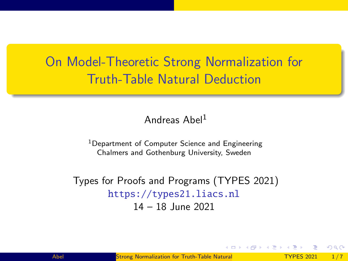# <span id="page-0-0"></span>On Model-Theoretic Strong Normalization for Truth-Table Natural Deduction

#### Andreas Abel<sup>1</sup>

<sup>1</sup>Department of Computer Science and Engineering Chalmers and Gothenburg University, Sweden

Types for Proofs and Programs (TYPES 2021) <https://types21.liacs.nl> 14 – 18 June 2021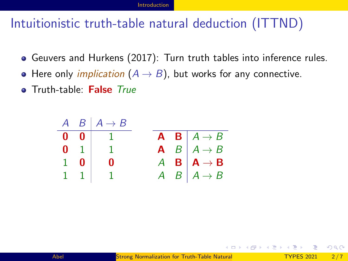## <span id="page-1-0"></span>Intuitionistic truth-table natural deduction (ITTND)

- Geuvers and Hurkens (2017): Turn truth tables into inference rules.
- Here only *implication*  $(A \rightarrow B)$ , but works for any connective.
- **o** Truth-table: False True

|                  | $A \quad B \mid A \rightarrow B$ |  |                                                    |
|------------------|----------------------------------|--|----------------------------------------------------|
|                  | $0 \t 0 \t 1$                    |  | $\mathbf{A} \quad \mathbf{B} \mid A \rightarrow B$ |
|                  | $0 \t1 \t1$                      |  | A $B \mid A \rightarrow B$                         |
| $1\quad 0$       | - 0                              |  | $A \tB \tA \rightarrow B$                          |
| $1 \quad 1 \mid$ |                                  |  | $A \quad B \mid A \rightarrow B$                   |

 $QQ$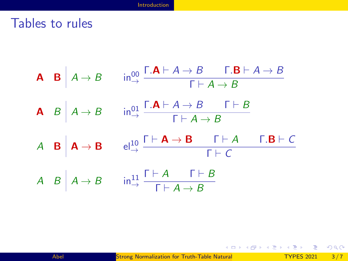#### Tables to rules



 $\Omega$ 

イロト イ押 トイヨ トイヨ トー ヨ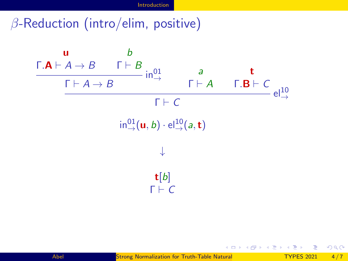### $\beta$ -Reduction (intro/elim, positive)



 $\leftarrow$   $\Box$ 

**←何 ▶ → ヨ ▶**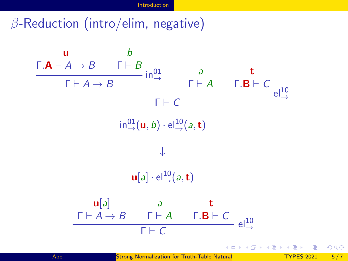### $\beta$ -Reduction (intro/elim, negative)

u  $\frac{\Gamma \cdot A \vdash A \to B}{\Gamma \vdash A \to B}$  in  $^{01}_{\to}$ b a  $Γ ⊢ A$ t  $\frac{\Gamma.\mathbf{B}\vdash C}{\text{el}^{10}_{\rightarrow}}$  $Γ ⊢ C$  $\mathsf{in}^{01}_\rightarrow(\mathsf{u},b)\cdot \mathsf{el}^{10}_\rightarrow(a,\mathsf{t})$ ↓  $\mathbf{u}[a] \cdot \mathsf{el}^{10}_{\rightarrow}(a, \mathbf{t})$  $\mathsf{u}[a]$  $Γ ⊢ A → B$ a  $Γ ⊢ A$ t  $Γ.B ⊢ C$  $\frac{1+2+1+1+6}{6}$  el<sup>10</sup>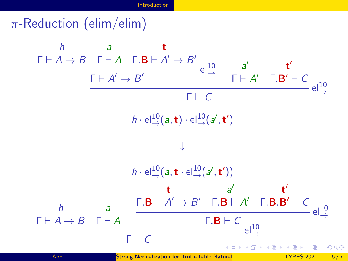#### $\pi$ -Reduction (elim/elim)